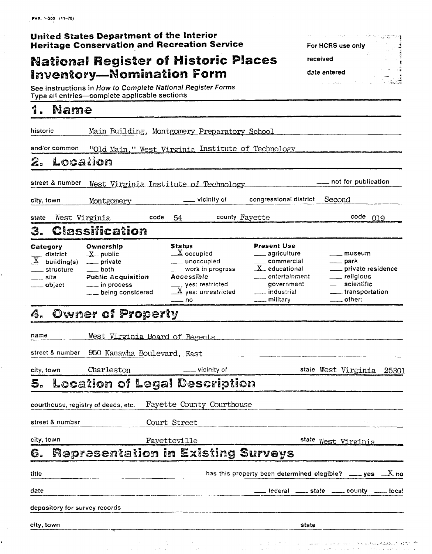| United States Department of the Interior            |  |
|-----------------------------------------------------|--|
| <b>Heritage Conservation and Recreation Service</b> |  |

# **National Register of Historic Places Inventory-Nomination Form**

See instructions in How to Complete National Register Forms<br>Type all entries—complete applicable sections

#### 4 Nama

city, town

| . .<br><b>NY CISSE</b>                                                                                           |                                                                                                                              |      |                                                                                                                                                                                      |                |                                                                                                                                                                                                       |        |                                                                                                                                 |  |
|------------------------------------------------------------------------------------------------------------------|------------------------------------------------------------------------------------------------------------------------------|------|--------------------------------------------------------------------------------------------------------------------------------------------------------------------------------------|----------------|-------------------------------------------------------------------------------------------------------------------------------------------------------------------------------------------------------|--------|---------------------------------------------------------------------------------------------------------------------------------|--|
| historic                                                                                                         | Main Building, Montgomery Preparatory School                                                                                 |      |                                                                                                                                                                                      |                |                                                                                                                                                                                                       |        |                                                                                                                                 |  |
| and/or common                                                                                                    | "Old Main," West Virginia Institute of Technology                                                                            |      |                                                                                                                                                                                      |                |                                                                                                                                                                                                       |        |                                                                                                                                 |  |
| 2. Location                                                                                                      |                                                                                                                              |      |                                                                                                                                                                                      |                |                                                                                                                                                                                                       |        |                                                                                                                                 |  |
| street & number                                                                                                  | West Virginia Institute of Technology                                                                                        |      |                                                                                                                                                                                      |                |                                                                                                                                                                                                       |        |                                                                                                                                 |  |
| city, town                                                                                                       | Montgomery                                                                                                                   |      | __ vicinity of                                                                                                                                                                       |                | congressional district                                                                                                                                                                                | Second |                                                                                                                                 |  |
| state   West Virginia                                                                                            |                                                                                                                              | code | 54                                                                                                                                                                                   | county Fayette |                                                                                                                                                                                                       |        | $code$ $019$                                                                                                                    |  |
| 3.                                                                                                               | Classification                                                                                                               |      |                                                                                                                                                                                      |                |                                                                                                                                                                                                       |        |                                                                                                                                 |  |
| Category<br>$\frac{1}{X}$ district<br>$\frac{1}{X}$ building(s)<br>_____ structure<br>$\equiv$ site<br>__ object | Ownership<br>$X$ public<br>___ private<br>$\_\_\_$ both<br><b>Public Acquisition</b><br>__ in process<br>__ being considered |      | <b>Status</b><br>$\underline{X}$ occupied<br>___ unoccupied<br>__ work in progress<br>Accessible<br>$\frac{1}{\sqrt{2}}$ yes: restricted<br>$\mathbb{Z}$ yes: unrestricted<br>___ no |                | <b>Present Use</b><br>____ agriculture<br>$\rule{1em}{0.15mm}$ commercial<br>$X$ educational<br>$\hspace{0.1cm}\rule{0.7cm}{0.8cm}\hspace{0.1cm}$ entertainment<br>_____ government<br>___ industrial |        | $---$ museum<br>___ park<br>___ private residence<br>___ religious<br>____ scientific<br>____ transportation<br>$\equiv$ other: |  |
|                                                                                                                  | 4.  Owner of Property                                                                                                        |      |                                                                                                                                                                                      |                |                                                                                                                                                                                                       |        |                                                                                                                                 |  |
| name                                                                                                             | West Virginia Board of Regents                                                                                               |      |                                                                                                                                                                                      |                |                                                                                                                                                                                                       |        |                                                                                                                                 |  |
|                                                                                                                  | street & number 950 Kanawha Bo <u>ulevard, East</u>                                                                          |      |                                                                                                                                                                                      |                |                                                                                                                                                                                                       |        |                                                                                                                                 |  |
| city, town                                                                                                       | Charleston                                                                                                                   |      | ___ vicinity of                                                                                                                                                                      |                |                                                                                                                                                                                                       |        | state West Virginia 25301                                                                                                       |  |
|                                                                                                                  | 5.  Location of Legal Description                                                                                            |      |                                                                                                                                                                                      |                |                                                                                                                                                                                                       |        |                                                                                                                                 |  |
| courthouse, registry of deeds, etc.                                                                              |                                                                                                                              |      | Fayette County Courthouse                                                                                                                                                            |                |                                                                                                                                                                                                       |        |                                                                                                                                 |  |
| street & number                                                                                                  |                                                                                                                              |      | Court Street                                                                                                                                                                         |                |                                                                                                                                                                                                       |        |                                                                                                                                 |  |
| city, town                                                                                                       |                                                                                                                              |      | Fayetteville                                                                                                                                                                         |                |                                                                                                                                                                                                       |        | state West Virginia                                                                                                             |  |
| 6.                                                                                                               | Representation in Existing Surveys                                                                                           |      |                                                                                                                                                                                      |                |                                                                                                                                                                                                       |        |                                                                                                                                 |  |
| litle                                                                                                            |                                                                                                                              |      |                                                                                                                                                                                      |                | has this property been determined elegible? $\_\_\_\$ yes $\_\_\_X$ no                                                                                                                                |        |                                                                                                                                 |  |
| date                                                                                                             |                                                                                                                              |      |                                                                                                                                                                                      |                | _federal _____ state _____ county _____ local                                                                                                                                                         |        |                                                                                                                                 |  |
| depository for survey records                                                                                    |                                                                                                                              |      |                                                                                                                                                                                      |                |                                                                                                                                                                                                       |        |                                                                                                                                 |  |
|                                                                                                                  |                                                                                                                              |      |                                                                                                                                                                                      |                |                                                                                                                                                                                                       |        |                                                                                                                                 |  |

 $35\%$ 

state

For HCRS use only

received

date entered in Library<br>Children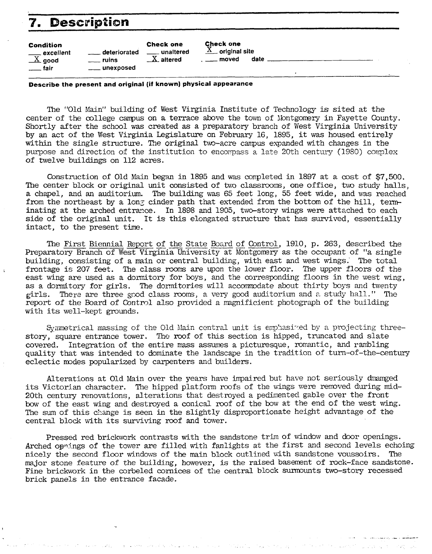# **7'. Description**

| $\mathbf 7$<br><b>Description</b>                            |                                    |                                                 |                                                                                |
|--------------------------------------------------------------|------------------------------------|-------------------------------------------------|--------------------------------------------------------------------------------|
| Condition<br>___ excellent<br>__X_ good<br><sub>-</sub> fair | $\_$ deteriorated<br><i>r</i> uins | <b>Check one</b><br>__ unaltered<br>$X$ altered | <b>Check one</b><br>$\underline{X}$ original site<br><u>__</u> _ moved<br>date |

#### **Describe the present and original (if known) physical appearance**

The "Old Main" building of West Virginia Institute of Technology is sited at the center of the college campus on a terrace above the town of Nontgomery in Fayette County. Shortly after the school **was** created as a preparatory branch of West Virginia University by an act of the West Virginia kgislature on February 16, 1895, it was housed entirely within the single structure. The original tm-acre **campus** expanded with changes in the purpose and direction of the institution to encompass a late  $20th$  century (1980) complex of twelve buildings on 112 acres.

Construction of Old Main began in 1895 and was completed in 1897 at a cost of \$7,500. The center block or original unit consisted of two classrooms, one office, two study halls, a chapel, and an auditorium. The building was 65 feet long, 55 feet wide, and was reached from the northeast by a long cinder path that extended from the bottom of the hill, terminating at the arched entrance. In 1898 and 1905, two-story wings were attached to each side of the original unit. It is this elongated structure that has survived, essentially intact, to the present time.

The First Biennial Report of the State Board of Control, 1910, p. 263, described the Preparatory Branch of West Virginia University at Montgomery as the occupant of "a single building, consisting of a main or central building, with east and west wings. The total frontage is 207 feet. The class rooms are upon the lower floor. The upper floors of the east wing are used as a dormitory for boys, and the corresponding floors in the west wing, as a dormitory for girls. The dormitories will accomrodate about thirty boys and twenty girls. There are three good class rooms, a very good auditorium and a study hall." The report of the Board of Control also provided a magnificient photograph of the building with its well-kept grounds.

Symmetrical massing of the Old Main central unit is emphasized by a projecting threestory, square entrance tower. The roof of this section is hipped, truncated and slate covered. Integration of the entire mass assumes a picturesque, romantic, and rambling Integration of the entire mass assumes a picturesque, romantic, and rambling quality that was intended to dominate the landscape in the tradition of turn-of-the-century eclectic modes popularized by carpenters and builders.

Alterations at Old Main over the years have impaired but have not seriously *dmmged*  its Victorian character. The hipped platform roofs of the wings were removed during mid-20th century renovations, alterations that destroyed a pedimented gable over the front bow of the east wing and destroyed a conical roof of the bow at the end of the west wing. The sum of this change is seen in the slightly disproportionate height advantage of the central block with its surviving roof and tower.

Pressed red brickwork contrasts with the sandstone trim of window and door openings. Arched opnings of the tower are filled with fanlights at the first and second levels echoing nicely the second floor windows of the main block outlined with sandstone voussoirs. The major stone feature of the building, however, is the raised basement of rock-face sandstone. Fine brickwork in the corbeled cornices of the central block surmounts two-story recessed brick panels in the entrance facade.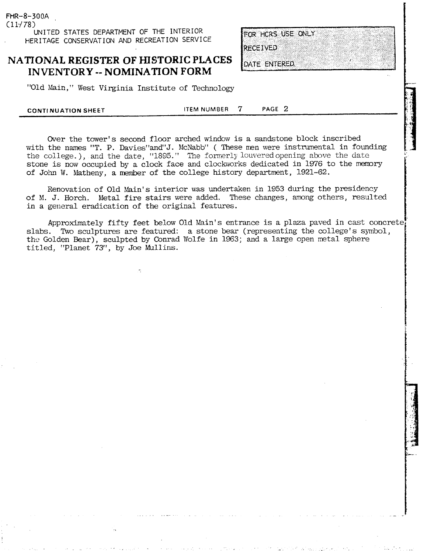FHR-8-300A  $(11/78)$ UNITED STATES DEPARTMENT OF THE INTERIOR HERITAGE CONSERVATION AND RECREATION SERVICE

#### **NATIONAL REGISTER OF HISTORIC PLACES INVENTORY** -- **NOMINATION FORM**

FOR HCRS USE ONLY **RECEIVED** 

DATE ENTERED.

"Old Main, " West Virginia Institute of Technology

**CONTINUATION SHEET ITEM NUMBER 7 PAGE 2** 

Over the tower's second floor arched window is a sandstone block inscribed with the names "T. P. Davies"and"J. McNabb" (These nen were instrumental in founding the college.), and the date, "1895." The formerly louvered opening above the date stone is now occupied by a clock face and clockworks dedicated in 1976 to the memory of John W. Matheny, a member of the college history department, 1921-62.

Renovation of Old Main's interior was undertaken in 1953 during the presidency of M. J. Horch. Metal fire stairs were added. These changes, among others, resulted in a general eradication of the original features.

Approximately fifty feet below Old Main's entrance is a plaza paved in cast concrete slabs. Two sculptures are featured: a stone bear (representing the college's symbol, the Golden Bear), sculpted by Conrad Wolfe in 1963; and a large open metal sphere titled, "Planet 73", by Joe Mullins.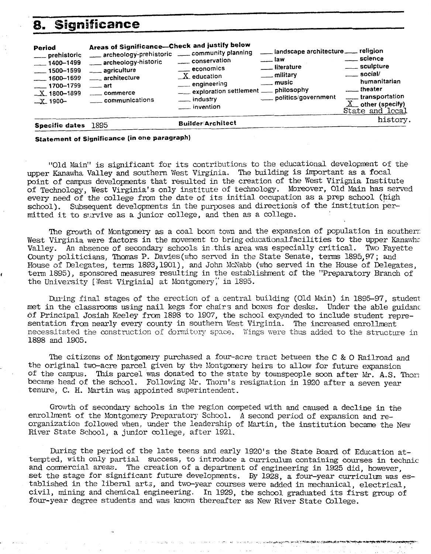### **8. Significance**

| 8.                                                                                                                              | <b>Significance</b>                                                                                                                                                                                       |                                                                                                                                    |                                                                                                                            |                                                                                                                                    |
|---------------------------------------------------------------------------------------------------------------------------------|-----------------------------------------------------------------------------------------------------------------------------------------------------------------------------------------------------------|------------------------------------------------------------------------------------------------------------------------------------|----------------------------------------------------------------------------------------------------------------------------|------------------------------------------------------------------------------------------------------------------------------------|
| Period<br>___ prehistoric<br>$-1400 - 1499$<br>$-$ 1500-1599<br>$-1600 - 1699$<br>$-1700 - 1799$<br>$X$ 1800-1899<br>$X$ -1900- | Areas of Significance-Check and justify below<br>archeology-prehistoric _____ community planning<br>archeology-historic<br>____ agriculture<br>architecture<br>art<br>____ commerce<br>___ communications | conservation<br>economics<br>$X$ education<br>__ engineering<br>exploration settlement __ philosophy<br>___ industry<br>invention_ | __ landscape architecture __ religion<br><u>.</u> law<br>___ literature<br>__ military<br>___ music<br>politics/government | ____ science<br>___ sculpture<br>$\equiv$ social/<br>humanitarian<br>____ transportation<br>$X$ other (specify)<br>State and local |
| Specific dates 1895                                                                                                             |                                                                                                                                                                                                           | <b>Builder/Architect</b>                                                                                                           |                                                                                                                            | history.                                                                                                                           |

**Statement of Significance (in one paragraph)** 

"Old main" is significant for its contributions to the educational development of the upper Kanawha Valley and southern West Virginia. The building is important as a **focal**  point of campus developments that resulted in the creation of the West Virignia Institute of Technology, West Virginia's only institute of technology. Moreover, Old Main **has** served every need of the college from the date of its initial occupation as a prep school (high school). Subsequent developments in the purposes and directions of the institution permitted it to survive as a junior college, and then as a college.

The growth of Montgomery as a coal boon tom and the expansion of population in southerr. West Virginia were factors in the movement to bring educationalfacilities to the upper Kanawha Valley. An absence of secondary schools in this area was especially critical. Two Fayette County politicians, Thomas P. Davies (who served in the State Senate, terms 1895, 97; and House of Delegates, terms 1893,1901), and John McNabb (who served in the House of Delegates, **<sup>1</sup>**tern 1895), sponsored measures resulting in the establishment of the "Preparatory Branch of the University [ West Virginia] at Montgomery" in 1895.

During final stages of the erection of a central building (Old Main) in 1895-97, student met in the classrooms using nail kegs for chairs and boxes for desks. Under the able guidanc of Principal Josiah Keeley from 1898 to 1907, the school expended to include student representation from nearly every county in southern West Virginia. The increased enrollment necessitated the construction of dormitory space. Wings were thus added to the structure in 1898 and 1905.

The citizens of Montgomery purchased a four-acre tract between the C & 0 Railroad and the original two-acre parcel given by the Montgomery heirs to allow for future expansion of the campus. This parcel was donated to the state by townspeople soon after Mr. A.S. Thom became head of the school. Following Mr. Thorn's resignation in 1920 after a seven year tenure, C. H. Martin was appointed superintendent.

Growth of secondary schools in the region competed with and caused a decline in the enrollment of the Montgomery Preparatory School. A second period of expansion and reorganization followed when, under the leadership of Martin, the institution became the New River State School, a junior allege, after 1921.

During the period of the late teens and early 1920's the State **Board** of Education attempted, with only partial success, to introduce a **curriculum** containing courses in technic and commercial areas. The creation of a department of engineering in 1925 did, however, set the stage for significant future developments. By 1928, a four-year curriculum was established in the liberal arts, and twc+year courses were added in nechanical, electrical, civil, mining and chemical engineering. In 1929, the school graduated its first group of four-year degree students and vas hown thereafter as New River State College.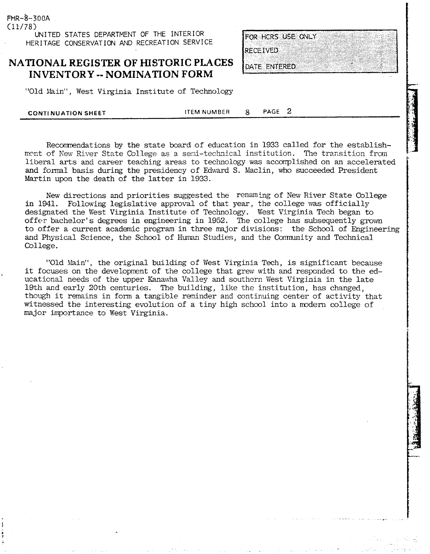(11/78) **UNITED STATES DEPARTMENT OF THE INTERIOR HERITAGE CONSERVATION AND RECREATION SERVICE** 

 $FHR - 8 - 300A$ 

### **NATIONAL REGISTER OF HISTORIC PLACES INVENTORY** -- **NOMINATION FORM**

"Old Main", West Virginia Institute of Technology

**CONTi NUATION SHEET ITEM NUMBER** 8 **PAGE 2** 

Recomnendations by the state board of education in 1933 called for the establishment of New River State College as a semi-technical institution. The transition from liberal arts and career teaching areas to technology was accomplished on an accelerated and formal basis during the presidency of Edward S. Maclin, who succeeded President Martin upon the death of the latter in 1933.

New directions and priorities suggested the renaming of New River State College in 1941. Following legislative approval of that year, the college was officially designated the West Virginia Institute of Technology. West Virginia Tech began to offer bachelor's degrees in engineering in 1952. The college has subsequently grown to offer a current academic program in three major divisions: the School of Engineering and Physical Science, the School of Human Studies, and the Community and Technical College.

"Old Main", the original building of West Virginia Tech, is significant because it focuses on the development of the college that grew with and responded to the ed- **<sup>1</sup>** ucational needs of the upper Kanawha Valley and southern West Virginia in the late 19th and early 20th centuries. The building, like the institution, has changed, though it remains in form a tangible reminder and continuing center of activity that witnessed the interesting evolution of a tiny high school into a mdern college of major importance to West Virginia.

FOR HCRS USE ONLY **RECEIVED** 

DATE ENTERED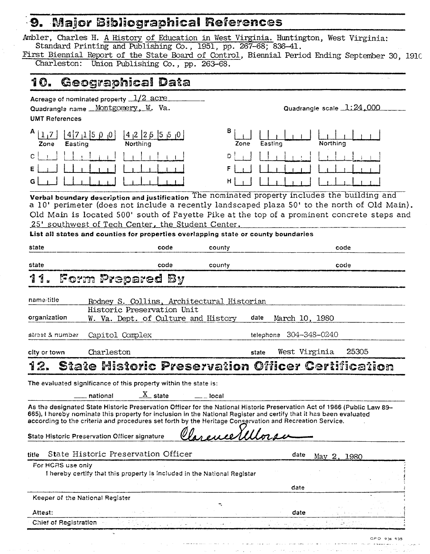### **Major Bibliographical References**

Ambler, Charles H. A History of Education in West Virginia. Huntington, West Virginia: Standard Printing and Publishing Co., 1951, pp. 267-68; 836-41. First Biennial Report of the State-Board of Control, Biennial Period Ending September 30, 1910<br>Charleston: Union Publishing Co., pp. 263-68. Union Publishing Co., pp. 263-68. Geographical Data 10. Acreage of nominated property  $1/2$  acre Quadrangle name **Montgomery**, W. Va. Quadrangle scale  $1:24,000$ **UMT** References  $\binom{4}{7}$   $\binom{4}{7}$   $\binom{5}{9}$   $\binom{0}{4}$   $\binom{4}{2}$   $\binom{2}{5}$   $\binom{5}{5}$ Zone Easting Zone Easting  $\mathbf C$ Ð G Verbal boundary description and justification The nominated property includes the building and **a** 10' perimeter (does not include a recently landscaped plaza 50' to the north of Old Main). Old Main is located 500' south of Fayette Pike at the top of a prominent concrete steps and 25' southwest of Tech Center, the Student Center. **List ail slates and counties for properties overlapping** state **or county boundaries**  state code county code county code countered controller code county and code code state code county code -3  $\mathcal{I}$ Form Prepared By name/title Rodney S. Collins, Architectural Historian Historic Preservation Unit organization W. Va. Dept. of Culture and History date March 10, 1980 street & number Capitol Complex telephone 304-348-0240 city or town Charleston state West Virginia 25305 12. - national 2%- state -- local The evaluated significance of this property within the state is: As the designated State Historic Preservation Officer for the National Historic Preservation Act of 1966 (Public Law **84-**  665), I hereby nominate this property for inclusion in the National Register and certify that it has been evaluated according to the criteria and procedures set forth by the Heritage Conservation and Recreation Service. State Historic Preservation Officer signature title State Historic Preservation Officer **and the State May 2, 1980 For HC2S** use oniy **1** hereby certify that this property is included in the National Register **date Keeper of the** National Register *<sup>I</sup>* **<sup>1</sup>**- **Attest: date 1**  Chief of Registration Ŵ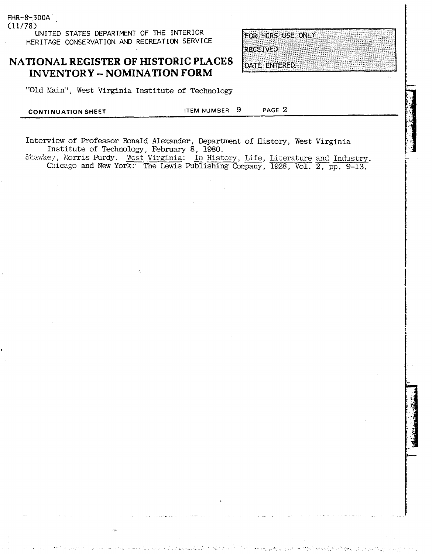(11/78) UNITED STATES DEPARTMENT OF THE INTERIOR HERITAGE CONSERVATION AND RECREATION SERVICE

FHR-8-300A

### **NATIONAL REGISTER OF HISTORIC PLACES INVENTORY** -- **NOMINATION FORM**

"Old Main", West Virginia Institute of Technology

| <b>CONTINUATION SHEET</b> | ITEM NUMBER 9 | PAGE 2 |  |
|---------------------------|---------------|--------|--|
|                           |               |        |  |

Interview of Professor Ronald Alexander, Department of History, West Virginia Institute of Technology, February 8, 1980. Shawkey; Xorris Purdy . The Munder of History, West Virginia<br>
Interview of Professor Ronald Alexander, Department of History, West Virginia<br>
Institute of Technology, February 8, 1980.<br>
Chicago and New York: The Lewis Publi

FOR HCRS USE ONLY **RECEIVED** 

DATE ENTERED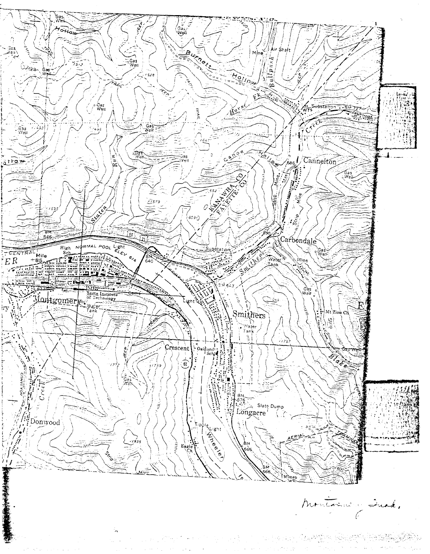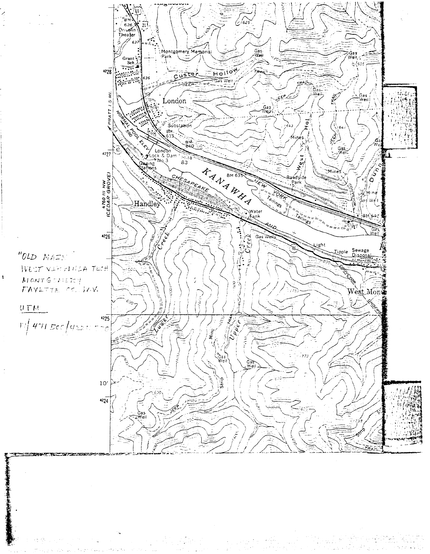

J.